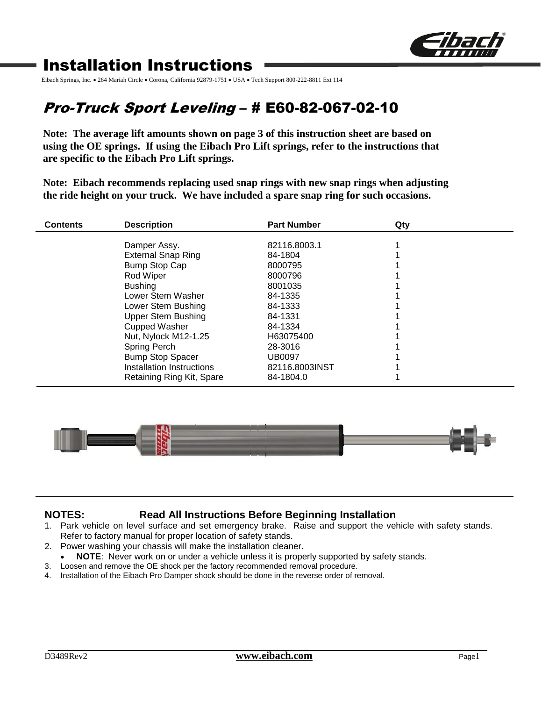

# Installation Instructions

Eibach Springs, Inc. • 264 Mariah Circle • Corona, California 92879-1751 • USA • Tech Support 800-222-8811 Ext 114

# Pro-Truck Sport Leveling – # E60-82-067-02-10

**Note: The average lift amounts shown on page 3 of this instruction sheet are based on using the OE springs. If using the Eibach Pro Lift springs, refer to the instructions that are specific to the Eibach Pro Lift springs.**

**Note: Eibach recommends replacing used snap rings with new snap rings when adjusting the ride height on your truck. We have included a spare snap ring for such occasions.**

| <b>Contents</b> | <b>Description</b>                        | <b>Part Number</b> | Qty |  |
|-----------------|-------------------------------------------|--------------------|-----|--|
|                 |                                           | 82116.8003.1       |     |  |
|                 | Damper Assy.<br><b>External Snap Ring</b> | 84-1804            |     |  |
|                 | <b>Bump Stop Cap</b>                      | 8000795            |     |  |
|                 | Rod Wiper                                 | 8000796            |     |  |
|                 | <b>Bushing</b>                            | 8001035            |     |  |
|                 | Lower Stem Washer                         | 84-1335            |     |  |
|                 | Lower Stem Bushing                        | 84-1333            |     |  |
|                 | <b>Upper Stem Bushing</b>                 | 84-1331            |     |  |
|                 | <b>Cupped Washer</b>                      | 84-1334            |     |  |
|                 | Nut, Nylock M12-1.25                      | H63075400          |     |  |
|                 | Spring Perch                              | 28-3016            |     |  |
|                 | <b>Bump Stop Spacer</b>                   | <b>UB0097</b>      |     |  |
|                 | Installation Instructions                 | 82116.8003INST     |     |  |
|                 | Retaining Ring Kit, Spare                 | 84-1804.0          |     |  |



## **NOTES: Read All Instructions Before Beginning Installation**

- 1. Park vehicle on level surface and set emergency brake. Raise and support the vehicle with safety stands. Refer to factory manual for proper location of safety stands.
- 2. Power washing your chassis will make the installation cleaner.
	- **NOTE**: Never work on or under a vehicle unless it is properly supported by safety stands.
- 3. Loosen and remove the OE shock per the factory recommended removal procedure.
- 4. Installation of the Eibach Pro Damper shock should be done in the reverse order of removal.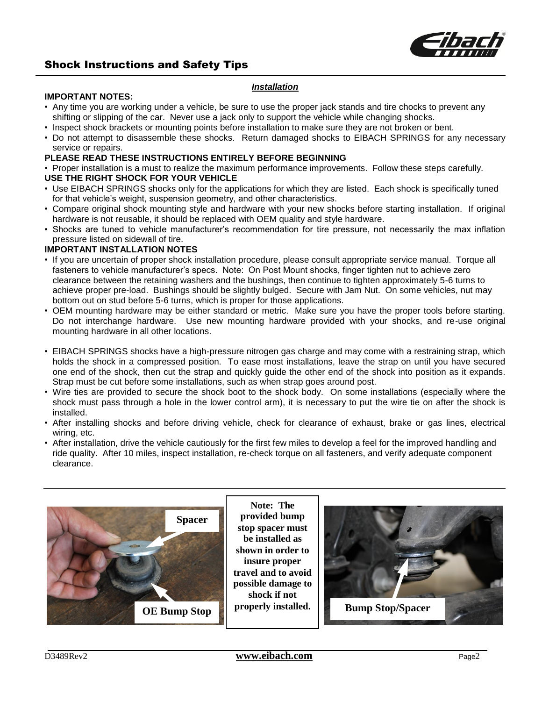

## Shock Instructions and Safety Tips

#### *Installation*

#### **IMPORTANT NOTES:**

- Any time you are working under a vehicle, be sure to use the proper jack stands and tire chocks to prevent any shifting or slipping of the car. Never use a jack only to support the vehicle while changing shocks.
- Inspect shock brackets or mounting points before installation to make sure they are not broken or bent.
- Do not attempt to disassemble these shocks. Return damaged shocks to EIBACH SPRINGS for any necessary service or repairs.

### **PLEASE READ THESE INSTRUCTIONS ENTIRELY BEFORE BEGINNING**

• Proper installation is a must to realize the maximum performance improvements. Follow these steps carefully.

#### **USE THE RIGHT SHOCK FOR YOUR VEHICLE**

- Use EIBACH SPRINGS shocks only for the applications for which they are listed. Each shock is specifically tuned for that vehicle's weight, suspension geometry, and other characteristics.
- Compare original shock mounting style and hardware with your new shocks before starting installation. If original hardware is not reusable, it should be replaced with OEM quality and style hardware.
- Shocks are tuned to vehicle manufacturer's recommendation for tire pressure, not necessarily the max inflation pressure listed on sidewall of tire.

#### **IMPORTANT INSTALLATION NOTES**

- If you are uncertain of proper shock installation procedure, please consult appropriate service manual. Torque all fasteners to vehicle manufacturer's specs. Note: On Post Mount shocks, finger tighten nut to achieve zero clearance between the retaining washers and the bushings, then continue to tighten approximately 5-6 turns to achieve proper pre-load. Bushings should be slightly bulged. Secure with Jam Nut. On some vehicles, nut may bottom out on stud before 5-6 turns, which is proper for those applications.
- OEM mounting hardware may be either standard or metric. Make sure you have the proper tools before starting. Do not interchange hardware. Use new mounting hardware provided with your shocks, and re-use original mounting hardware in all other locations.
- EIBACH SPRINGS shocks have a high-pressure nitrogen gas charge and may come with a restraining strap, which holds the shock in a compressed position. To ease most installations, leave the strap on until you have secured one end of the shock, then cut the strap and quickly guide the other end of the shock into position as it expands. Strap must be cut before some installations, such as when strap goes around post.
- Wire ties are provided to secure the shock boot to the shock body. On some installations (especially where the shock must pass through a hole in the lower control arm), it is necessary to put the wire tie on after the shock is installed.
- After installing shocks and before driving vehicle, check for clearance of exhaust, brake or gas lines, electrical wiring, etc.
- After installation, drive the vehicle cautiously for the first few miles to develop a feel for the improved handling and ride quality. After 10 miles, inspect installation, re-check torque on all fasteners, and verify adequate component clearance.



**Note: The provided bump stop spacer must be installed as shown in order to insure proper travel and to avoid possible damage to shock if not**